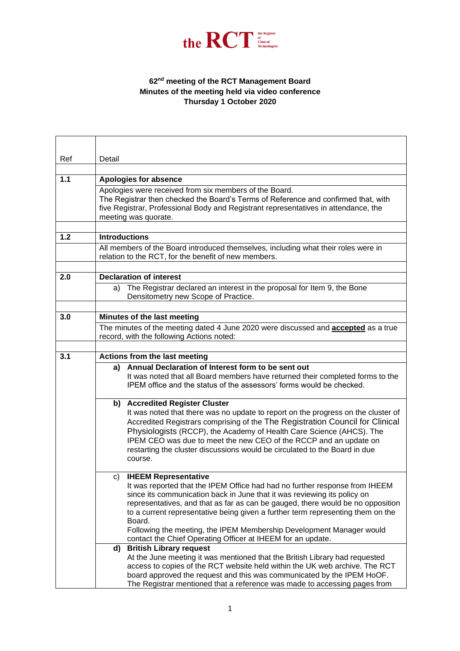

## **62 nd meeting of the RCT Management Board Minutes of the meeting held via video conference Thursday 1 October 2020**

| Ref   | Detail                                                                                                                                                                                                                                                                                                                                                                                                                                                                                                    |
|-------|-----------------------------------------------------------------------------------------------------------------------------------------------------------------------------------------------------------------------------------------------------------------------------------------------------------------------------------------------------------------------------------------------------------------------------------------------------------------------------------------------------------|
|       |                                                                                                                                                                                                                                                                                                                                                                                                                                                                                                           |
| $1.1$ | <b>Apologies for absence</b>                                                                                                                                                                                                                                                                                                                                                                                                                                                                              |
|       | Apologies were received from six members of the Board.<br>The Registrar then checked the Board's Terms of Reference and confirmed that, with<br>five Registrar, Professional Body and Registrant representatives in attendance, the<br>meeting was quorate.                                                                                                                                                                                                                                               |
| 1.2   | <b>Introductions</b>                                                                                                                                                                                                                                                                                                                                                                                                                                                                                      |
|       | All members of the Board introduced themselves, including what their roles were in                                                                                                                                                                                                                                                                                                                                                                                                                        |
|       | relation to the RCT, for the benefit of new members.                                                                                                                                                                                                                                                                                                                                                                                                                                                      |
|       |                                                                                                                                                                                                                                                                                                                                                                                                                                                                                                           |
| 2.0   | <b>Declaration of interest</b>                                                                                                                                                                                                                                                                                                                                                                                                                                                                            |
|       | The Registrar declared an interest in the proposal for Item 9, the Bone<br>a)<br>Densitometry new Scope of Practice.                                                                                                                                                                                                                                                                                                                                                                                      |
|       |                                                                                                                                                                                                                                                                                                                                                                                                                                                                                                           |
| 3.0   | Minutes of the last meeting                                                                                                                                                                                                                                                                                                                                                                                                                                                                               |
|       | The minutes of the meeting dated 4 June 2020 were discussed and <b>accepted</b> as a true<br>record, with the following Actions noted:                                                                                                                                                                                                                                                                                                                                                                    |
|       |                                                                                                                                                                                                                                                                                                                                                                                                                                                                                                           |
| 3.1   | Actions from the last meeting                                                                                                                                                                                                                                                                                                                                                                                                                                                                             |
|       | Annual Declaration of Interest form to be sent out<br>a)<br>It was noted that all Board members have returned their completed forms to the<br>IPEM office and the status of the assessors' forms would be checked.                                                                                                                                                                                                                                                                                        |
|       | b) Accredited Register Cluster<br>It was noted that there was no update to report on the progress on the cluster of<br>Accredited Registrars comprising of the The Registration Council for Clinical<br>Physiologists (RCCP), the Academy of Health Care Science (AHCS). The<br>IPEM CEO was due to meet the new CEO of the RCCP and an update on<br>restarting the cluster discussions would be circulated to the Board in due<br>course.                                                                |
|       | c) IHEEM Representative<br>It was reported that the IPEM Office had had no further response from IHEEM<br>since its communication back in June that it was reviewing its policy on<br>representatives, and that as far as can be gauged, there would be no opposition<br>to a current representative being given a further term representing them on the<br>Board.<br>Following the meeting, the IPEM Membership Development Manager would<br>contact the Chief Operating Officer at IHEEM for an update. |
|       | <b>British Library request</b><br>d)<br>At the June meeting it was mentioned that the British Library had requested<br>access to copies of the RCT website held within the UK web archive. The RCT<br>board approved the request and this was communicated by the IPEM HoOF.<br>The Registrar mentioned that a reference was made to accessing pages from                                                                                                                                                 |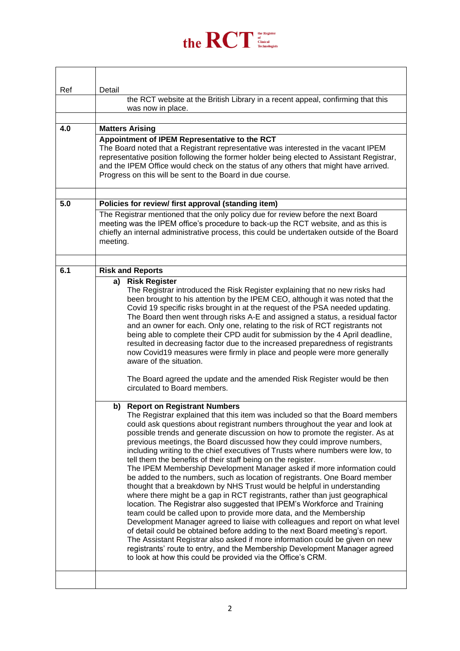

| Ref | Detail                                                                                                                                                                                                                                                                                                                                                                                                                                                                                                                                                                                                                                                                                                                                                                                                                                                                                                                                                                                                                                                                                                                                                                                                                                                                                                                                                                              |
|-----|-------------------------------------------------------------------------------------------------------------------------------------------------------------------------------------------------------------------------------------------------------------------------------------------------------------------------------------------------------------------------------------------------------------------------------------------------------------------------------------------------------------------------------------------------------------------------------------------------------------------------------------------------------------------------------------------------------------------------------------------------------------------------------------------------------------------------------------------------------------------------------------------------------------------------------------------------------------------------------------------------------------------------------------------------------------------------------------------------------------------------------------------------------------------------------------------------------------------------------------------------------------------------------------------------------------------------------------------------------------------------------------|
|     | the RCT website at the British Library in a recent appeal, confirming that this<br>was now in place.                                                                                                                                                                                                                                                                                                                                                                                                                                                                                                                                                                                                                                                                                                                                                                                                                                                                                                                                                                                                                                                                                                                                                                                                                                                                                |
|     |                                                                                                                                                                                                                                                                                                                                                                                                                                                                                                                                                                                                                                                                                                                                                                                                                                                                                                                                                                                                                                                                                                                                                                                                                                                                                                                                                                                     |
| 4.0 | <b>Matters Arising</b><br>Appointment of IPEM Representative to the RCT                                                                                                                                                                                                                                                                                                                                                                                                                                                                                                                                                                                                                                                                                                                                                                                                                                                                                                                                                                                                                                                                                                                                                                                                                                                                                                             |
|     | The Board noted that a Registrant representative was interested in the vacant IPEM<br>representative position following the former holder being elected to Assistant Registrar,<br>and the IPEM Office would check on the status of any others that might have arrived.<br>Progress on this will be sent to the Board in due course.                                                                                                                                                                                                                                                                                                                                                                                                                                                                                                                                                                                                                                                                                                                                                                                                                                                                                                                                                                                                                                                |
| 5.0 | Policies for review/ first approval (standing item)                                                                                                                                                                                                                                                                                                                                                                                                                                                                                                                                                                                                                                                                                                                                                                                                                                                                                                                                                                                                                                                                                                                                                                                                                                                                                                                                 |
|     | The Registrar mentioned that the only policy due for review before the next Board<br>meeting was the IPEM office's procedure to back-up the RCT website, and as this is<br>chiefly an internal administrative process, this could be undertaken outside of the Board<br>meeting.                                                                                                                                                                                                                                                                                                                                                                                                                                                                                                                                                                                                                                                                                                                                                                                                                                                                                                                                                                                                                                                                                                    |
| 6.1 | <b>Risk and Reports</b>                                                                                                                                                                                                                                                                                                                                                                                                                                                                                                                                                                                                                                                                                                                                                                                                                                                                                                                                                                                                                                                                                                                                                                                                                                                                                                                                                             |
|     | <b>Risk Register</b><br>a)                                                                                                                                                                                                                                                                                                                                                                                                                                                                                                                                                                                                                                                                                                                                                                                                                                                                                                                                                                                                                                                                                                                                                                                                                                                                                                                                                          |
|     | The Registrar introduced the Risk Register explaining that no new risks had<br>been brought to his attention by the IPEM CEO, although it was noted that the<br>Covid 19 specific risks brought in at the request of the PSA needed updating.<br>The Board then went through risks A-E and assigned a status, a residual factor<br>and an owner for each. Only one, relating to the risk of RCT registrants not<br>being able to complete their CPD audit for submission by the 4 April deadline,<br>resulted in decreasing factor due to the increased preparedness of registrants<br>now Covid19 measures were firmly in place and people were more generally<br>aware of the situation.                                                                                                                                                                                                                                                                                                                                                                                                                                                                                                                                                                                                                                                                                          |
|     | The Board agreed the update and the amended Risk Register would be then<br>circulated to Board members.                                                                                                                                                                                                                                                                                                                                                                                                                                                                                                                                                                                                                                                                                                                                                                                                                                                                                                                                                                                                                                                                                                                                                                                                                                                                             |
|     | b) Report on Registrant Numbers<br>The Registrar explained that this item was included so that the Board members<br>could ask questions about registrant numbers throughout the year and look at<br>possible trends and generate discussion on how to promote the register. As at<br>previous meetings, the Board discussed how they could improve numbers,<br>including writing to the chief executives of Trusts where numbers were low, to<br>tell them the benefits of their staff being on the register.<br>The IPEM Membership Development Manager asked if more information could<br>be added to the numbers, such as location of registrants. One Board member<br>thought that a breakdown by NHS Trust would be helpful in understanding<br>where there might be a gap in RCT registrants, rather than just geographical<br>location. The Registrar also suggested that IPEM's Workforce and Training<br>team could be called upon to provide more data, and the Membership<br>Development Manager agreed to liaise with colleagues and report on what level<br>of detail could be obtained before adding to the next Board meeting's report.<br>The Assistant Registrar also asked if more information could be given on new<br>registrants' route to entry, and the Membership Development Manager agreed<br>to look at how this could be provided via the Office's CRM. |
|     |                                                                                                                                                                                                                                                                                                                                                                                                                                                                                                                                                                                                                                                                                                                                                                                                                                                                                                                                                                                                                                                                                                                                                                                                                                                                                                                                                                                     |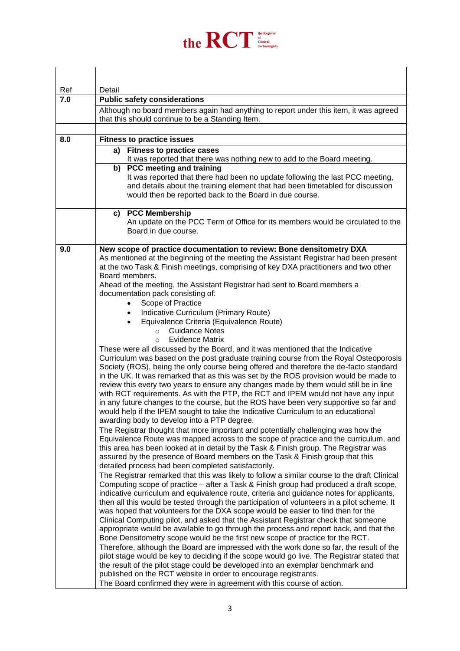

| Ref | Detail                                                                                                                                                                          |
|-----|---------------------------------------------------------------------------------------------------------------------------------------------------------------------------------|
| 7.0 | <b>Public safety considerations</b>                                                                                                                                             |
|     | Although no board members again had anything to report under this item, it was agreed                                                                                           |
|     | that this should continue to be a Standing Item.                                                                                                                                |
|     |                                                                                                                                                                                 |
| 8.0 | <b>Fitness to practice issues</b>                                                                                                                                               |
|     | <b>Fitness to practice cases</b><br>a)                                                                                                                                          |
|     | It was reported that there was nothing new to add to the Board meeting.<br>b)<br>PCC meeting and training                                                                       |
|     | It was reported that there had been no update following the last PCC meeting,                                                                                                   |
|     | and details about the training element that had been timetabled for discussion                                                                                                  |
|     | would then be reported back to the Board in due course.                                                                                                                         |
|     | c) PCC Membership                                                                                                                                                               |
|     | An update on the PCC Term of Office for its members would be circulated to the                                                                                                  |
|     | Board in due course.                                                                                                                                                            |
|     |                                                                                                                                                                                 |
| 9.0 | New scope of practice documentation to review: Bone densitometry DXA<br>As mentioned at the beginning of the meeting the Assistant Registrar had been present                   |
|     | at the two Task & Finish meetings, comprising of key DXA practitioners and two other                                                                                            |
|     | Board members.                                                                                                                                                                  |
|     | Ahead of the meeting, the Assistant Registrar had sent to Board members a                                                                                                       |
|     | documentation pack consisting of:<br>Scope of Practice                                                                                                                          |
|     | Indicative Curriculum (Primary Route)<br>$\bullet$                                                                                                                              |
|     | Equivalence Criteria (Equivalence Route)<br>$\bullet$                                                                                                                           |
|     | <b>Guidance Notes</b><br>$\circ$                                                                                                                                                |
|     | <b>Evidence Matrix</b><br>$\circ$                                                                                                                                               |
|     | These were all discussed by the Board, and it was mentioned that the Indicative                                                                                                 |
|     | Curriculum was based on the post graduate training course from the Royal Osteoporosis<br>Society (ROS), being the only course being offered and therefore the de-facto standard |
|     | in the UK. It was remarked that as this was set by the ROS provision would be made to                                                                                           |
|     | review this every two years to ensure any changes made by them would still be in line                                                                                           |
|     | with RCT requirements. As with the PTP, the RCT and IPEM would not have any input                                                                                               |
|     | in any future changes to the course, but the ROS have been very supportive so far and<br>would help if the IPEM sought to take the Indicative Curriculum to an educational      |
|     | awarding body to develop into a PTP degree.                                                                                                                                     |
|     | The Registrar thought that more important and potentially challenging was how the                                                                                               |
|     | Equivalence Route was mapped across to the scope of practice and the curriculum, and                                                                                            |
|     | this area has been looked at in detail by the Task & Finish group. The Registrar was                                                                                            |
|     | assured by the presence of Board members on the Task & Finish group that this<br>detailed process had been completed satisfactorily.                                            |
|     | The Registrar remarked that this was likely to follow a similar course to the draft Clinical                                                                                    |
|     | Computing scope of practice – after a Task & Finish group had produced a draft scope,                                                                                           |
|     | indicative curriculum and equivalence route, criteria and guidance notes for applicants,                                                                                        |
|     | then all this would be tested through the participation of volunteers in a pilot scheme. It                                                                                     |
|     | was hoped that volunteers for the DXA scope would be easier to find then for the<br>Clinical Computing pilot, and asked that the Assistant Registrar check that someone         |
|     | appropriate would be available to go through the process and report back, and that the                                                                                          |
|     | Bone Densitometry scope would be the first new scope of practice for the RCT.                                                                                                   |
|     | Therefore, although the Board are impressed with the work done so far, the result of the                                                                                        |
|     | pilot stage would be key to deciding if the scope would go live. The Registrar stated that                                                                                      |
|     |                                                                                                                                                                                 |
|     | The Board confirmed they were in agreement with this course of action.                                                                                                          |
|     | the result of the pilot stage could be developed into an exemplar benchmark and<br>published on the RCT website in order to encourage registrants.                              |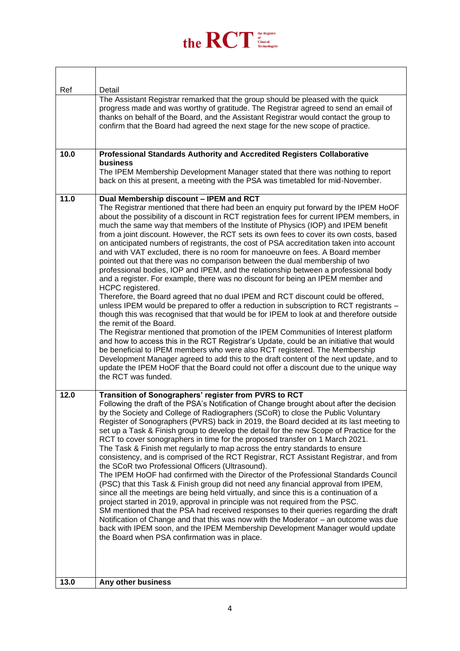

 $\overline{\phantom{a}}$ 

| Ref  | Detail                                                                                                                                                                                                                                                                                                                                                                                                                                                                                                                                                                                                                                                                                                                                                                                                                                                                                                                                                                                                                                                                                                                                                                                                                                                                                                                                                                                                                                                                                                                                                                                                                                             |
|------|----------------------------------------------------------------------------------------------------------------------------------------------------------------------------------------------------------------------------------------------------------------------------------------------------------------------------------------------------------------------------------------------------------------------------------------------------------------------------------------------------------------------------------------------------------------------------------------------------------------------------------------------------------------------------------------------------------------------------------------------------------------------------------------------------------------------------------------------------------------------------------------------------------------------------------------------------------------------------------------------------------------------------------------------------------------------------------------------------------------------------------------------------------------------------------------------------------------------------------------------------------------------------------------------------------------------------------------------------------------------------------------------------------------------------------------------------------------------------------------------------------------------------------------------------------------------------------------------------------------------------------------------------|
|      | The Assistant Registrar remarked that the group should be pleased with the quick<br>progress made and was worthy of gratitude. The Registrar agreed to send an email of<br>thanks on behalf of the Board, and the Assistant Registrar would contact the group to<br>confirm that the Board had agreed the next stage for the new scope of practice.                                                                                                                                                                                                                                                                                                                                                                                                                                                                                                                                                                                                                                                                                                                                                                                                                                                                                                                                                                                                                                                                                                                                                                                                                                                                                                |
| 10.0 | Professional Standards Authority and Accredited Registers Collaborative<br>business<br>The IPEM Membership Development Manager stated that there was nothing to report<br>back on this at present, a meeting with the PSA was timetabled for mid-November.                                                                                                                                                                                                                                                                                                                                                                                                                                                                                                                                                                                                                                                                                                                                                                                                                                                                                                                                                                                                                                                                                                                                                                                                                                                                                                                                                                                         |
|      |                                                                                                                                                                                                                                                                                                                                                                                                                                                                                                                                                                                                                                                                                                                                                                                                                                                                                                                                                                                                                                                                                                                                                                                                                                                                                                                                                                                                                                                                                                                                                                                                                                                    |
| 11.0 | Dual Membership discount - IPEM and RCT<br>The Registrar mentioned that there had been an enquiry put forward by the IPEM HoOF<br>about the possibility of a discount in RCT registration fees for current IPEM members, in<br>much the same way that members of the Institute of Physics (IOP) and IPEM benefit<br>from a joint discount. However, the RCT sets its own fees to cover its own costs, based<br>on anticipated numbers of registrants, the cost of PSA accreditation taken into account<br>and with VAT excluded, there is no room for manoeuvre on fees. A Board member<br>pointed out that there was no comparison between the dual membership of two<br>professional bodies, IOP and IPEM, and the relationship between a professional body<br>and a register. For example, there was no discount for being an IPEM member and<br>HCPC registered.<br>Therefore, the Board agreed that no dual IPEM and RCT discount could be offered,<br>unless IPEM would be prepared to offer a reduction in subscription to RCT registrants -<br>though this was recognised that that would be for IPEM to look at and therefore outside<br>the remit of the Board.<br>The Registrar mentioned that promotion of the IPEM Communities of Interest platform<br>and how to access this in the RCT Registrar's Update, could be an initiative that would<br>be beneficial to IPEM members who were also RCT registered. The Membership<br>Development Manager agreed to add this to the draft content of the next update, and to<br>update the IPEM HoOF that the Board could not offer a discount due to the unique way<br>the RCT was funded. |
| 12.0 | Transition of Sonographers' register from PVRS to RCT<br>Following the draft of the PSA's Notification of Change brought about after the decision<br>by the Society and College of Radiographers (SCoR) to close the Public Voluntary<br>Register of Sonographers (PVRS) back in 2019, the Board decided at its last meeting to<br>set up a Task & Finish group to develop the detail for the new Scope of Practice for the<br>RCT to cover sonographers in time for the proposed transfer on 1 March 2021.<br>The Task & Finish met regularly to map across the entry standards to ensure<br>consistency, and is comprised of the RCT Registrar, RCT Assistant Registrar, and from<br>the SCoR two Professional Officers (Ultrasound).<br>The IPEM HoOF had confirmed with the Director of the Professional Standards Council<br>(PSC) that this Task & Finish group did not need any financial approval from IPEM,<br>since all the meetings are being held virtually, and since this is a continuation of a<br>project started in 2019, approval in principle was not required from the PSC.<br>SM mentioned that the PSA had received responses to their queries regarding the draft<br>Notification of Change and that this was now with the Moderator - an outcome was due<br>back with IPEM soon, and the IPEM Membership Development Manager would update<br>the Board when PSA confirmation was in place.                                                                                                                                                                                                                                 |
| 13.0 | Any other business                                                                                                                                                                                                                                                                                                                                                                                                                                                                                                                                                                                                                                                                                                                                                                                                                                                                                                                                                                                                                                                                                                                                                                                                                                                                                                                                                                                                                                                                                                                                                                                                                                 |